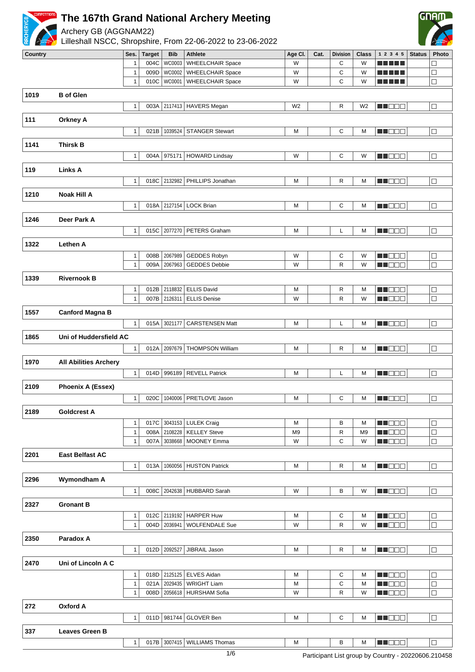

Archery GB (AGGNAM22)



|      |                              | 1                            | 004C |              | WC0003   WHEELCHAIR Space    | W              | С            | W              |                | $\Box$ |
|------|------------------------------|------------------------------|------|--------------|------------------------------|----------------|--------------|----------------|----------------|--------|
|      |                              | $\mathbf{1}$                 | 009D | WC0002       | <b>WHEELCHAIR Space</b>      | W              | C            | W              | 11 I I         | $\Box$ |
|      |                              | $\mathbf{1}$                 | 010C | WC0001       | <b>WHEELCHAIR Space</b>      | W              | C            | W              | a Alban        | $\Box$ |
| 1019 | <b>B</b> of Glen             |                              |      |              |                              |                |              |                |                |        |
|      |                              |                              | 003A |              | 2117413   HAVERS Megan       | W <sub>2</sub> | R            | W <sub>2</sub> | MU DEL         | $\Box$ |
|      |                              | $\mathbf{1}$                 |      |              |                              |                |              |                |                |        |
| 111  | <b>Orkney A</b>              |                              |      |              |                              |                |              |                |                |        |
|      |                              | $\mathbf{1}$                 | 021B | 1039524      | <b>STANGER Stewart</b>       | M              | $\mathbf C$  | М              | MU DO S        | $\Box$ |
|      |                              |                              |      |              |                              |                |              |                |                |        |
| 1141 | <b>Thirsk B</b>              |                              |      |              |                              |                |              |                |                |        |
|      |                              | $\mathbf{1}$                 | 004A | 975171       | <b>HOWARD Lindsay</b>        | W              | C            | W              | M NOOC         | $\Box$ |
| 119  | <b>Links A</b>               |                              |      |              |                              |                |              |                |                |        |
|      |                              | $\mathbf{1}$                 | 018C | 2132982      | PHILLIPS Jonathan            | M              | R            | М              | M DOO          | $\Box$ |
|      |                              |                              |      |              |                              |                |              |                |                |        |
| 1210 | <b>Noak Hill A</b>           |                              |      |              |                              |                |              |                |                |        |
|      |                              | $\mathbf{1}$                 |      |              | 018A 2127154   LOCK Brian    | M              | С            | M              | MU OO O        | $\Box$ |
| 1246 | Deer Park A                  |                              |      |              |                              |                |              |                |                |        |
|      |                              | $\mathbf{1}$                 | 015C | 2077270      | PETERS Graham                | M              | L            | М              | MU O O O       | $\Box$ |
|      |                              |                              |      |              |                              |                |              |                |                |        |
| 1322 | Lethen A                     |                              |      |              |                              |                |              |                |                |        |
|      |                              | $\mathbf{1}$                 | 008B | 2067989      | GEDDES Robyn                 | W              | С            | W              | <b>NNOOO</b>   | $\Box$ |
|      |                              | $\mathbf{1}$                 | 009A | 2067963      | <b>GEDDES Debbie</b>         | W              | R            | W              | MT OE E        | $\Box$ |
| 1339 | <b>Rivernook B</b>           |                              |      |              |                              |                |              |                |                |        |
|      |                              |                              | 012B | 2118832      | <b>ELLIS David</b>           | M              | R            | М              | <b>MNOOO</b>   | $\Box$ |
|      |                              | $\mathbf{1}$<br>$\mathbf{1}$ | 007B | 2126311      | <b>ELLIS Denise</b>          | W              | $\mathsf{R}$ | W              | M NOCI         | $\Box$ |
|      |                              |                              |      |              |                              |                |              |                |                |        |
| 1557 | <b>Canford Magna B</b>       |                              |      |              |                              |                |              |                |                |        |
|      |                              | $\mathbf{1}$                 | 015A | 3021177      | <b>CARSTENSEN Matt</b>       | M              | L            | М              | MU O O C       | $\Box$ |
| 1865 | Uni of Huddersfield AC       |                              |      |              |                              |                |              |                |                |        |
|      |                              | $\mathbf{1}$                 |      | 012A 2097679 | <b>THOMPSON William</b>      | M              | R            | М              | M NOOC         | $\Box$ |
|      |                              |                              |      |              |                              |                |              |                |                |        |
| 1970 | <b>All Abilities Archery</b> |                              |      |              |                              |                |              |                |                |        |
|      |                              | $\mathbf{1}$                 | 014D | 996189       | <b>REVELL Patrick</b>        | M              | L            | M              | M DOO          | $\Box$ |
| 2109 | Phoenix A (Essex)            |                              |      |              |                              |                |              |                |                |        |
|      |                              |                              | 020C |              | 1040006   PRETLOVE Jason     | M              | С            | M              | <b>REDDE</b>   | $\Box$ |
|      |                              | $\mathbf{1}$                 |      |              |                              |                |              |                |                |        |
| 2189 | <b>Goldcrest A</b>           |                              |      |              |                              |                |              |                |                |        |
|      |                              | $\mathbf{1}$                 |      |              | 017C 3043153 LULEK Craig     | M              | В            | М              | <u>LI DOO </u> | $\Box$ |
|      |                              | $\mathbf{1}$                 | 008A | 2108228      | <b>KELLEY Steve</b>          | M <sub>9</sub> | $\mathsf{R}$ | M <sub>9</sub> | M NO SIG       | $\Box$ |
|      |                              | $\mathbf{1}$                 | 007A | 3038668      | <b>MOONEY Emma</b>           | W              | C            | W              | MU DOCI        | $\Box$ |
| 2201 | <b>East Belfast AC</b>       |                              |      |              |                              |                |              |                |                |        |
|      |                              | $\mathbf{1}$                 | 013A |              | 1060056 HUSTON Patrick       | M              | R            | М              | M DOO          | $\Box$ |
|      |                              |                              |      |              |                              |                |              |                |                |        |
| 2296 | Wymondham A                  |                              |      |              |                              |                |              |                |                |        |
|      |                              | $\mathbf{1}$                 | 008C | 2042638      | <b>HUBBARD Sarah</b>         | W              | В            | W              | M DOO          | $\Box$ |
| 2327 | <b>Gronant B</b>             |                              |      |              |                              |                |              |                |                |        |
|      |                              | 1                            |      |              | 012C 2119192   HARPER Huw    | Μ              | С            | М              | MU O O O       | $\Box$ |
|      |                              | $\mathbf{1}$                 | 004D | 2036941      | <b>WOLFENDALE Sue</b>        | W              | R            | W              | MU DEC         | $\Box$ |
|      |                              |                              |      |              |                              |                |              |                |                |        |
| 2350 | Paradox A                    |                              |      |              |                              |                |              |                |                |        |
|      |                              | $\mathbf{1}$                 | 012D | 2092527      | JIBRAIL Jason                | M              | R            | М              | MN DE B        | $\Box$ |
| 2470 | Uni of Lincoln A C           |                              |      |              |                              |                |              |                |                |        |
|      |                              | $\mathbf{1}$                 |      | 018D 2125125 | ELVES Aidan                  | M              | С            | М              | MN DOO         | $\Box$ |
|      |                              | $\mathbf{1}$                 | 021A | 2029435      | <b>WRIGHT Liam</b>           | M              | С            | M              | M O O O        | $\Box$ |
|      |                              | $\mathbf{1}$                 | 008D |              | 2056618   HURSHAM Sofia      | W              | R            | W              | MU OO O        | $\Box$ |
|      |                              |                              |      |              |                              |                |              |                |                |        |
| 272  | <b>Oxford A</b>              |                              |      |              |                              |                |              |                |                |        |
|      |                              | $\mathbf{1}$                 |      | 011D 981744  | GLOVER Ben                   | M              | С            | М              | <b>MNDOD</b>   | $\Box$ |
| 337  | <b>Leaves Green B</b>        |                              |      |              |                              |                |              |                |                |        |
|      |                              | 1                            |      |              | 017B 3007415 WILLIAMS Thomas | M              | В            | М              | <b>REDDE</b>   | $\Box$ |
|      |                              |                              |      |              |                              |                |              |                |                |        |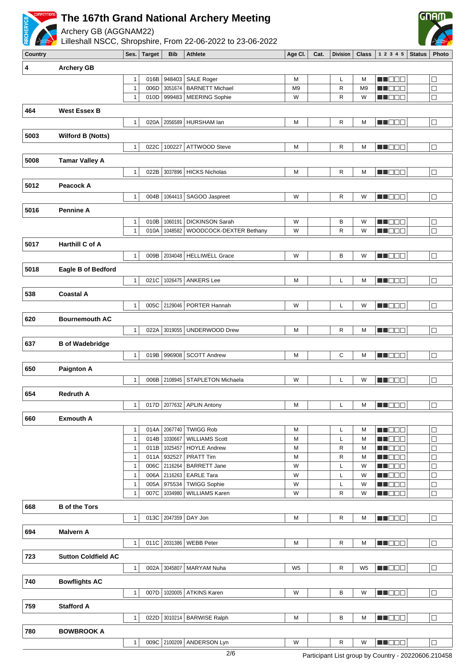

Archery GB (AGGNAM22)



| 4    | <b>Archery GB</b>          |                              |              |                    |                                                   |                |              |                |                         |                  |
|------|----------------------------|------------------------------|--------------|--------------------|---------------------------------------------------|----------------|--------------|----------------|-------------------------|------------------|
|      |                            | $\mathbf{1}$                 | 016B         | 948403             | <b>SALE Roger</b>                                 | M              | L            | M              | MA OOO                  | $\Box$           |
|      |                            | $\mathbf{1}$                 | 006D         | 3051674            | <b>BARNETT Michael</b>                            | M <sub>9</sub> | R            | M <sub>9</sub> | MA DELI                 | $\Box$           |
|      |                            | $\mathbf{1}$                 | 010D         | 999483             | <b>MEERING Sophie</b>                             | W              | R            | W              | M DO B                  | $\Box$           |
| 464  | <b>West Essex B</b>        |                              |              |                    |                                                   |                |              |                |                         |                  |
|      |                            | $\mathbf{1}$                 | 020A         | 2056589            | HURSHAM lan                                       | M              | R            | M              | <b>REDDE</b>            | $\Box$           |
| 5003 | <b>Wilford B (Notts)</b>   |                              |              |                    |                                                   |                |              |                |                         |                  |
|      |                            |                              |              |                    |                                                   |                |              |                |                         |                  |
|      |                            | $\mathbf{1}$                 | 022C         | 100227             | ATTWOOD Steve                                     | М              | R            | M              | N NO O O                | $\Box$           |
| 5008 | <b>Tamar Valley A</b>      |                              |              |                    |                                                   |                |              |                |                         |                  |
|      |                            | $\mathbf{1}$                 | 022B         |                    | 3037896 HICKS Nicholas                            | М              | R            | M              | MU DO O                 | $\Box$           |
| 5012 | Peacock A                  |                              |              |                    |                                                   |                |              |                |                         |                  |
|      |                            | $\mathbf{1}$                 | 004B         | 1064413            | SAGOO Jaspreet                                    | W              | R            | W              | M DOOR                  | $\Box$           |
|      |                            |                              |              |                    |                                                   |                |              |                |                         |                  |
| 5016 | <b>Pennine A</b>           |                              |              |                    |                                                   |                |              |                |                         |                  |
|      |                            | $\mathbf{1}$<br>$\mathbf{1}$ | 010B<br>010A | 1060191<br>1048582 | <b>DICKINSON Sarah</b><br>WOODCOCK-DEXTER Bethany | W<br>W         | B<br>R       | W<br>W         | MA MEND<br>MU OO B      | $\Box$<br>$\Box$ |
|      |                            |                              |              |                    |                                                   |                |              |                |                         |                  |
| 5017 | Harthill C of A            |                              |              |                    |                                                   |                |              |                |                         |                  |
|      |                            | $\mathbf{1}$                 | 009B         | 2034048            | <b>HELLIWELL Grace</b>                            | W              | B            | W              | <b>REDDE</b>            | $\Box$           |
| 5018 | Eagle B of Bedford         |                              |              |                    |                                                   |                |              |                |                         |                  |
|      |                            | $\mathbf{1}$                 | 021C         | 1026475            | <b>ANKERS Lee</b>                                 | М              | L            | M              | M DEC                   | $\Box$           |
| 538  | <b>Coastal A</b>           |                              |              |                    |                                                   |                |              |                |                         |                  |
|      |                            |                              |              |                    |                                                   |                |              |                |                         |                  |
|      |                            | $\mathbf{1}$                 |              | 005C 2129046       | PORTER Hannah                                     | W              | L            | W              | <b>REDED</b>            | $\Box$           |
| 620  | <b>Bournemouth AC</b>      |                              |              |                    |                                                   |                |              |                |                         |                  |
|      |                            | $\mathbf{1}$                 | 022A         | 3019055            | UNDERWOOD Drew                                    | M              | R            | M              | M DOO                   | $\Box$           |
| 637  | <b>B</b> of Wadebridge     |                              |              |                    |                                                   |                |              |                |                         |                  |
|      |                            | $\mathbf{1}$                 | 019B         | 996908             | <b>SCOTT Andrew</b>                               | М              | С            | M              | <b>REDDE</b>            | $\Box$           |
|      |                            |                              |              |                    |                                                   |                |              |                |                         |                  |
| 650  | <b>Paignton A</b>          |                              |              |                    |                                                   |                |              |                |                         |                  |
|      |                            | $\mathbf{1}$                 | 006B         | 2108945            | STAPLETON Michaela                                | W              | L            | W              | M D D D D               | $\Box$           |
| 654  | <b>Redruth A</b>           |                              |              |                    |                                                   |                |              |                |                         |                  |
|      |                            | $\mathbf{1}$                 | 017D         | 2077632            | <b>APLIN Antony</b>                               | М              | Г            | M              | MN 888                  | $\Box$           |
| 660  | <b>Exmouth A</b>           |                              |              |                    |                                                   |                |              |                |                         |                  |
|      |                            | $\mathbf{1}$                 | 014A         | 2067740            | <b>TWIGG Rob</b>                                  | M              | L            | M              | M DEC                   | $\Box$           |
|      |                            | 1                            | 014B         | 1030667            | <b>WILLIAMS Scott</b>                             | М              | L            | M              | <b>HELED</b>            | $\Box$           |
|      |                            | $\mathbf{1}$                 |              | 011B   1025457     | <b>HOYLE Andrew</b>                               | М              | R            | M              | MU DO O                 | $\Box$           |
|      |                            | $\mathbf{1}$                 | 011A         | 932527             | <b>PRATT Tim</b>                                  | М              | R            | м              | M NOOC                  | □                |
|      |                            | $\mathbf{1}$                 | 006C         | 2116264            | <b>BARRETT Jane</b>                               | W              | L            | W              | M NO DO                 | □                |
|      |                            | $\mathbf{1}$<br>$\mathbf{1}$ | 006A<br>005A | 2116263<br>975534  | <b>EARLE Tara</b><br><b>TWIGG Sophie</b>          | W<br>W         | L<br>L       | W<br>W         | MA BELE<br><b>REDDE</b> | $\Box$<br>$\Box$ |
|      |                            | $\mathbf{1}$                 | 007C         | 1034980            | <b>WILLIAMS Karen</b>                             | W              | R            | W              | <b>REDDE</b>            | $\Box$           |
|      | <b>B</b> of the Tors       |                              |              |                    |                                                   |                |              |                |                         |                  |
| 668  |                            |                              |              |                    |                                                   |                |              |                |                         |                  |
|      |                            | $\mathbf{1}$                 |              |                    | 013C 2047359 DAY Jon                              | M              | $\mathsf{R}$ | M              | <b>NH DDD</b>           | $\Box$           |
| 694  | <b>Malvern A</b>           |                              |              |                    |                                                   |                |              |                |                         |                  |
|      |                            | $\mathbf{1}$                 |              | 011C 2031386       | <b>WEBB Peter</b>                                 | м              | R            | M              | M DE B                  | $\Box$           |
| 723  | <b>Sutton Coldfield AC</b> |                              |              |                    |                                                   |                |              |                |                         |                  |
|      |                            | $\mathbf{1}$                 |              | 002A 3045807       | MARYAM Nuha                                       | W <sub>5</sub> | R            | W <sub>5</sub> | <b>HELLO</b>            | $\Box$           |
|      |                            |                              |              |                    |                                                   |                |              |                |                         |                  |
| 740  | <b>Bowflights AC</b>       |                              |              |                    |                                                   |                |              |                |                         |                  |
|      |                            | $\mathbf{1}$                 |              |                    | 007D   1020005   ATKINS Karen                     | W              | В            | W              | <b>HELDER</b>           | $\Box$           |
| 759  | <b>Stafford A</b>          |                              |              |                    |                                                   |                |              |                |                         |                  |
|      |                            | $\mathbf{1}$                 |              |                    | 022D 3010214 BARWISE Ralph                        | м              | B            | M              | <b>RECOR</b>            | $\Box$           |
| 780  | <b>BOWBROOK A</b>          |                              |              |                    |                                                   |                |              |                |                         |                  |
|      |                            | $\mathbf{1}$                 |              |                    | 009C 2100209 ANDERSON Lyn                         | W              | $\mathsf{R}$ | W              | <b>NNODE</b>            | $\Box$           |
|      |                            |                              |              |                    |                                                   |                |              |                |                         |                  |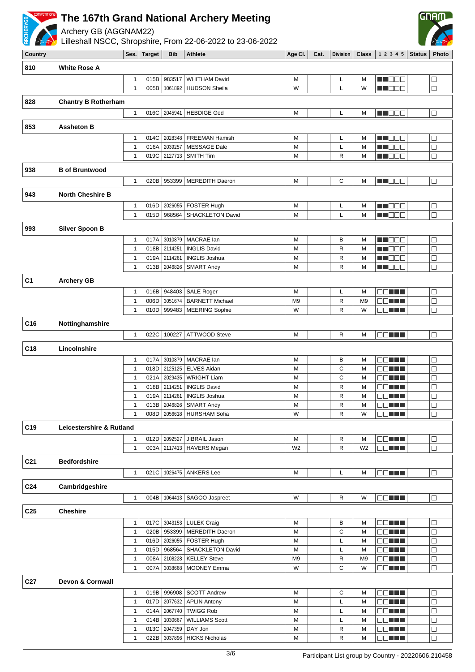

Archery GB (AGGNAM22)



| 810             | <b>White Rose A</b>                                    |                              |              |                    |                                           |                |  |                   |                |                                              |                  |
|-----------------|--------------------------------------------------------|------------------------------|--------------|--------------------|-------------------------------------------|----------------|--|-------------------|----------------|----------------------------------------------|------------------|
|                 | 983517<br><b>WHITHAM David</b><br>015B<br>$\mathbf{1}$ |                              |              |                    |                                           | М              |  | L                 | M              | M DO D                                       | $\Box$           |
|                 |                                                        | $\mathbf{1}$                 | 005B         | 1061892            | <b>HUDSON Sheila</b>                      | W              |  | L                 | W              | n i Biblio                                   | $\Box$           |
| 828             | <b>Chantry B Rotherham</b>                             |                              |              |                    |                                           |                |  |                   |                |                                              |                  |
|                 |                                                        |                              |              |                    |                                           |                |  |                   |                |                                              |                  |
|                 |                                                        | $\mathbf{1}$                 | 016C         | 2045941            | <b>HEBDIGE Ged</b>                        | M              |  | L                 | M              | M NO WE                                      | $\Box$           |
| 853             | <b>Assheton B</b>                                      |                              |              |                    |                                           |                |  |                   |                |                                              |                  |
|                 |                                                        | $\mathbf{1}$                 | 014C         | 2028348            | <b>FREEMAN Hamish</b>                     | M              |  | L                 | M              | M DEC                                        | $\Box$           |
|                 |                                                        | $\mathbf{1}$                 | 016A         | 2039257            | <b>MESSAGE Dale</b>                       | M              |  | L                 | M              | MN OO U                                      | $\Box$           |
|                 |                                                        | $\mathbf{1}$                 | 019C         | 2127713            | SMITH Tim                                 | M              |  | $\mathsf{R}$      | M              | MA DELT                                      | $\Box$           |
| 938             | <b>B</b> of Bruntwood                                  |                              |              |                    |                                           |                |  |                   |                |                                              |                  |
|                 |                                                        | $\mathbf{1}$                 | 020B         | 953399             | <b>MEREDITH Daeron</b>                    | M              |  | C                 | M              | <b>HEEE</b>                                  | $\Box$           |
|                 |                                                        |                              |              |                    |                                           |                |  |                   |                |                                              |                  |
| 943             | <b>North Cheshire B</b>                                |                              |              |                    |                                           |                |  |                   |                |                                              |                  |
|                 |                                                        | $\mathbf{1}$                 | 016D         | 2026055            | FOSTER Hugh                               | M              |  | Г                 | M              | M DE E                                       | $\Box$           |
|                 |                                                        | $\mathbf{1}$                 | 015D         | 968564             | SHACKLETON David                          | M              |  | L                 | M              | MA DE E                                      | $\Box$           |
| 993             | <b>Silver Spoon B</b>                                  |                              |              |                    |                                           |                |  |                   |                |                                              |                  |
|                 |                                                        | $\mathbf{1}$                 | 017A         | 3010879            | MACRAE lan                                | M              |  | В                 | M              | M NO WA                                      | $\Box$           |
|                 |                                                        | $\mathbf{1}$                 |              | 018B 2114251       | <b>INGLIS David</b>                       | M              |  | $\mathsf{R}$      | M              | UN DELL'                                     | $\Box$           |
|                 |                                                        | $\mathbf{1}$                 | 019A         | 2114261            | <b>INGLIS Joshua</b>                      | M              |  | R                 | M              | an di seb                                    | $\Box$           |
|                 |                                                        | $\mathbf{1}$                 | 013B         | 2046826            | <b>SMART Andy</b>                         | M              |  | $\mathsf{R}$      | M              | MA DELE                                      | $\Box$           |
| C <sub>1</sub>  | <b>Archery GB</b>                                      |                              |              |                    |                                           |                |  |                   |                |                                              |                  |
|                 |                                                        | $\mathbf{1}$                 | 016B         | 948403             | <b>SALE Roger</b>                         | M              |  | L                 | M              | 88 <b>18 18</b>                              | $\Box$           |
|                 |                                                        | $\mathbf{1}$                 | 006D         | 3051674            | <b>BARNETT Michael</b>                    | M <sub>9</sub> |  | $\mathsf{R}$      | M <sub>9</sub> | OO TIL                                       | $\Box$           |
|                 |                                                        | $\mathbf{1}$                 | 010D         | 999483             | <b>MEERING Sophie</b>                     | W              |  | $\mathsf{R}$      | W              | 88 E BIL                                     | $\Box$           |
| C <sub>16</sub> |                                                        |                              |              |                    |                                           |                |  |                   |                |                                              |                  |
|                 | Nottinghamshire                                        |                              |              |                    |                                           |                |  |                   |                |                                              |                  |
|                 |                                                        | $\mathbf{1}$                 | 022C         | 100227             | <b>ATTWOOD Steve</b>                      | М              |  | R                 | M              | OO HEL                                       | $\Box$           |
| C18             | Lincolnshire                                           |                              |              |                    |                                           |                |  |                   |                |                                              |                  |
|                 |                                                        | $\mathbf{1}$                 | 017A         | 3010879            | MACRAE lan                                | M              |  | B                 | M              | OO HELL                                      | $\Box$           |
|                 |                                                        | $\mathbf{1}$                 | 018D         | 2125125            | <b>ELVES Aidan</b>                        | M              |  | C                 | M              | 88 H H                                       | $\Box$           |
|                 |                                                        | $\mathbf{1}$                 | 021A         | 2029435            | <b>WRIGHT Liam</b>                        | M              |  | C                 | M              | a shekara                                    | $\Box$           |
|                 |                                                        | 1                            | 018B<br>019A | 2114251            | <b>INGLIS David</b>                       | М              |  | R                 | M              | OO TILL                                      | $\Box$           |
|                 | $\mathbf{1}$                                           |                              |              | 2114261            | <b>INGLIS Joshua</b>                      | M              |  | $\mathsf{R}$      | M              | an din k                                     | $\Box$           |
|                 |                                                        | $\mathbf{1}$<br>$\mathbf{1}$ | 013B<br>008D | 2046826<br>2056618 | <b>SMART Andy</b><br><b>HURSHAM Sofia</b> | M<br>W         |  | R<br>$\mathsf{R}$ | M<br>W         | 88 H H<br><b>ROLLE</b>                       | $\Box$<br>$\Box$ |
|                 |                                                        |                              |              |                    |                                           |                |  |                   |                |                                              |                  |
| C <sub>19</sub> | Leicestershire & Rutland                               |                              |              |                    |                                           |                |  |                   |                |                                              |                  |
|                 |                                                        | 1                            | 012D         | 2092527            | JIBRAIL Jason                             | M              |  | $\mathsf{R}$      | M              | ee ma                                        | $\Box$           |
|                 |                                                        | $\mathbf{1}$                 |              |                    | 003A 2117413 HAVERS Megan                 | W <sub>2</sub> |  | R                 | W <sub>2</sub> | <b>RENTIN</b>                                | $\Box$           |
| C <sub>21</sub> | <b>Bedfordshire</b>                                    |                              |              |                    |                                           |                |  |                   |                |                                              |                  |
|                 |                                                        | $\mathbf{1}$                 | 021C         | 1026475            | ANKERS Lee                                | M              |  | L                 | M              | 88 <b>18 19 19 19 19 19 19 19 19 19 19 1</b> | $\Box$           |
| C <sub>24</sub> |                                                        |                              |              |                    |                                           |                |  |                   |                |                                              |                  |
|                 | Cambridgeshire                                         |                              |              |                    |                                           |                |  |                   |                |                                              |                  |
|                 |                                                        | $\mathbf{1}$                 | 004B         |                    | 1064413   SAGOO Jaspreet                  | W              |  | R                 | W              | 88 <b>88 88 88</b>                           | $\Box$           |
| C <sub>25</sub> | <b>Cheshire</b>                                        |                              |              |                    |                                           |                |  |                   |                |                                              |                  |
|                 |                                                        | $\mathbf{1}$                 | 017C         |                    | 3043153 LULEK Craig                       | M              |  | В                 | M              | <b>BBL BB</b>                                | $\Box$           |
|                 |                                                        | $\mathbf{1}$                 | 020B         | 953399             | <b>MEREDITH Daeron</b>                    | M              |  | С                 | M              | OO HELL                                      | $\Box$           |
|                 |                                                        | 1                            |              | 016D 2026055       | <b>FOSTER Hugh</b>                        | М              |  | L                 | M              | OO TILL                                      | $\Box$           |
|                 |                                                        | 1                            | 015D         | 968564             | SHACKLETON David                          | M              |  | Г                 | M              | 88 H H                                       | $\Box$           |
|                 |                                                        | $\mathbf{1}$                 | 008A         | 2108228            | <b>KELLEY Steve</b>                       | M <sub>9</sub> |  | R                 | M <sub>9</sub> | OO TITLE                                     | $\Box$           |
|                 |                                                        | $\mathbf{1}$                 | 007A         | 3038668            | <b>MOONEY Emma</b>                        | W              |  | C                 | W              | OO HELL                                      | $\Box$           |
| C <sub>27</sub> | <b>Devon &amp; Cornwall</b>                            |                              |              |                    |                                           |                |  |                   |                |                                              |                  |
|                 |                                                        | $\mathbf{1}$                 | 019B         | 996908             | <b>SCOTT Andrew</b>                       | M              |  | C                 | M              | <u>e di Libr</u>                             | $\Box$           |
|                 |                                                        | $\mathbf{1}$                 | 017D         | 2077632            | <b>APLIN Antony</b>                       | M              |  | L                 | M              | <b>BBHLI</b>                                 | $\Box$           |
|                 |                                                        | $\mathbf{1}$                 | 014A         | 2067740            | <b>TWIGG Rob</b>                          | M              |  | L                 | M              | OO HELL                                      | $\Box$           |
|                 |                                                        | $\mathbf{1}$                 | 014B         | 1030667            | <b>WILLIAMS Scott</b>                     | M              |  | L                 | M              | <b>DDNNN</b>                                 | $\Box$           |
|                 |                                                        | $\mathbf{1}$                 | 013C         | 2047359            | DAY Jon                                   | M              |  | R                 | M              | 88 H H                                       | $\Box$           |
|                 |                                                        | $\mathbf{1}$                 | 022B         |                    | 3037896 HICKS Nicholas                    | М              |  | R                 | M              | <b>DDEEN</b>                                 | $\Box$           |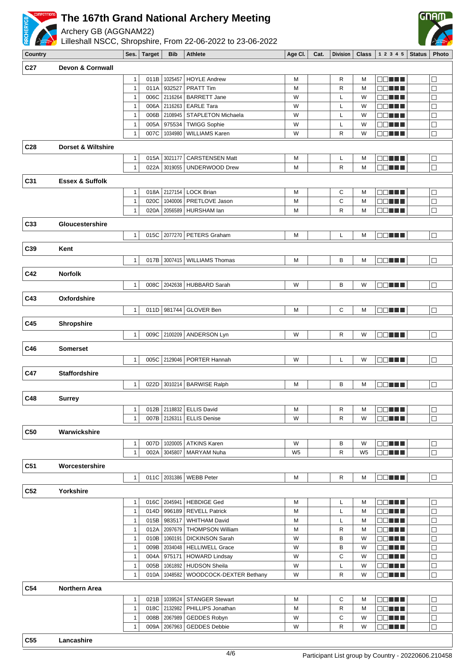

Archery GB (AGGNAM22)

Lilleshall NSCC, Shropshire, From 22-06-2022 to 23-06-2022



**Country Ses. Target Bib Athlete Age Cl. Cat. Division Class 1 2 3 4 5 Status Photo C27 Devon & Cornwall** 1 011B 1025457 HOYLE Andrew M M M R M **DDNNN**  $\Box$ 1 011A 932527 PRATT Tim M M M R M **DDNN**  $\overline{\Box}$ 1 006C 2116264 BARRETT Jane W W L W  $\overline{\Box}$ **DDDDDI** 1 006A 2116263 EARLE Tara W L W L L W **BBL HE**  $\Box$ 1 006B 2108945 STAPLETON Michaela W W L W 88 H H  $\Box$ 1 005A 975534 TWIGG Sophie W W U L W  $\Box$ nn an L 1 007C 1034980 WILLIAMS Karen W R W R W R W **BBLEE**  $\Box$ **C28 Dorset & Wiltshire** 1 015A 3021177 CARSTENSEN Matt M M M L L M **BBL HE**  $\Box$ 1 022A 3019055 UNDERWOOD Drew M M M R M **COLLL**  $\Box$ **C31 Essex & Suffolk** 1 018A 2127154 LOCK Brian M M M C M 88 **88 88**  $\Box$ 1 020C 1040006 PRETLOVE Jason M M M C M **DDDDD**  $\Box$ 1 020A 2056589 HURSHAM Ian M M M M R M  $\Box$ **ODDER C33 Gloucestershire** 1 015C 2077270 PETERS Graham M N N L M **DOTTH** lo **C39 Kent** 1 017B 3007415 WILLIAMS Thomas M B M **DOM:N** Iп **C42 Norfolk** 1 008C 2042638 HUBBARD Sarah W W B W l oo minin  $\overline{\Box}$ **C43 Oxfordshire** 1 011D 981744 GLOVER Ben M M G M 88 T H  $\Box$ **C45 Shropshire** 1 009C 2100209 ANDERSON Lyn W W R W **DOLLE** |□ **C46 Somerset** 1 005C 2129046 PORTER Hannah W L W **DDD BH** IП **C47 Staffordshire** 1 022D 3010214 BARWISE Ralph M M M B M **DDDDD** 10 **C48 Surrey** 1 012B 2118832 ELLIS David N M M R M **DDNNN**  $\Box$ 1 007B 2126311 ELLIS Denise New York W R W **DDDDD** lo **C50 Warwickshire** 1 007D 1020005 ATKINS Karen W B W B W **DDNN**  $\Box$  $\overline{\square}$ 1 002A 3045807 MARYAM Nuha W5 W5 R W5 **DONUL C51 Worcestershire** 1 011C 2031386 WEBB Peter M M M R M 88 **18 19 19 19 19 19**  $\Box$ **C52 Yorkshire** 1 016C 2045941 HEBDIGE Ged M M M L M **DOM:N**  $\Box$ 1 014D 996189 REVELL Patrick M M L M **DOM: 10**  $\Box$ 1 015B 983517 WHITHAM David M M L M **DOM: NO**  $\Box$ 1 012A 2097679 THOMPSON William M M R M 88 **18 19 19 19 19 19**  $\Box$ 1 010B 1060191 DICKINSON Sarah W B W 88 O 88 O 88  $\overline{\Box}$ 1 009B 2034048 HELLIWELL Grace W B W B W **DOM: UNIT**  $\overline{\Box}$ 1 004A 975171 HOWARD Lindsay W W C W nn an L  $\Box$ **DDDDD** 1 005B 1061892 HUDSON Sheila W L W  $\Box$ 1 010A 1048582 WOODCOCK-DEXTER Bethany W W R W **DDNNN**  $\Box$ **C54 Northern Area** 1 021B 1039524 STANGER Stewart M M G M **BBL BB**  $\Box$ 1 018C 2132982 PHILLIPS Jonathan M M R M **ODE ET**  $\Box$ 1 008B 2067989 GEDDES Robyn W W C W **DDNNN**  $\Box$ 1 009A 2067963 GEDDES Debbie W W R W 100 E E E  $\Box$ **C55 Lancashire**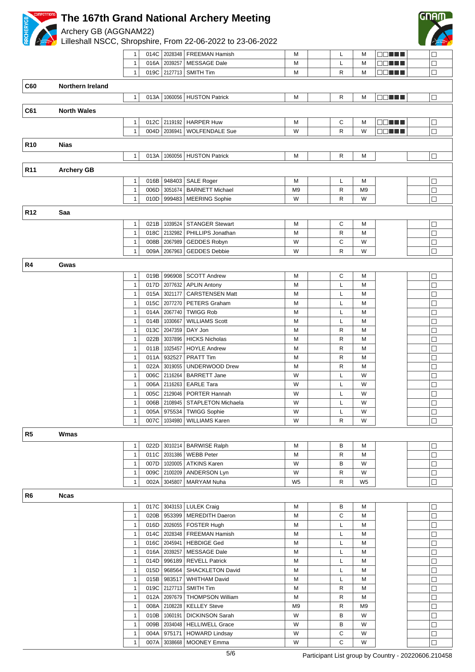

Archery GB (AGGNAM22)

Lilleshall NSCC, Shropshire, From 22-06-2022 to 23-06-2022



|                 |                         | 1            | 014C | 2028348        | <b>FREEMAN Hamish</b>           | M              | L | M              | 88 H H        | $\Box$ |
|-----------------|-------------------------|--------------|------|----------------|---------------------------------|----------------|---|----------------|---------------|--------|
|                 |                         | 1            | 016A | 2039257        | <b>MESSAGE Dale</b>             | M              | L | M              |               | $\Box$ |
|                 |                         | $\mathbf{1}$ |      |                | 019C 2127713   SMITH Tim        | M              | R | M              | 88 S S S S    | $\Box$ |
| <b>C60</b>      | <b>Northern Ireland</b> |              |      |                |                                 |                |   |                |               |        |
|                 |                         |              |      |                |                                 |                |   |                |               |        |
|                 |                         | 1            |      |                | 013A   1060056   HUSTON Patrick | М              | R | M              | <b>OD THE</b> | $\Box$ |
| C61             | <b>North Wales</b>      |              |      |                |                                 |                |   |                |               |        |
|                 |                         |              |      |                |                                 |                |   |                |               |        |
|                 |                         | 1            |      | 012C 2119192   | <b>HARPER Huw</b>               | M              | С | M              | <b>BBLLL</b>  | $\Box$ |
|                 |                         | $\mathbf{1}$ | 004D | 2036941        | <b>WOLFENDALE Sue</b>           | W              | R | W              | <b>DDDDD</b>  | $\Box$ |
| <b>R10</b>      | <b>Nias</b>             |              |      |                |                                 |                |   |                |               |        |
|                 |                         | $\mathbf{1}$ |      |                | 013A   1060056   HUSTON Patrick | М              | R | M              |               | $\Box$ |
|                 |                         |              |      |                |                                 |                |   |                |               |        |
| R <sub>11</sub> | <b>Archery GB</b>       |              |      |                |                                 |                |   |                |               |        |
|                 |                         | 1            |      | 016B 948403    | SALE Roger                      | M              | L | M              |               |        |
|                 |                         | $\mathbf{1}$ | 006D | 3051674        | <b>BARNETT Michael</b>          | M9             | R | M9             |               | $\Box$ |
|                 |                         | $\mathbf{1}$ | 010D | 999483         | MEERING Sophie                  | W              | R | W              |               | $\Box$ |
|                 |                         |              |      |                |                                 |                |   |                |               |        |
| R <sub>12</sub> | Saa                     |              |      |                |                                 |                |   |                |               |        |
|                 |                         | $\mathbf{1}$ | 021B | 1039524        | <b>STANGER Stewart</b>          | M              | C | M              |               | □      |
|                 |                         | $\mathbf{1}$ | 018C | 2132982        | PHILLIPS Jonathan               | M              | R | M              |               | $\Box$ |
|                 |                         | $\mathbf{1}$ | 008B | 2067989        | GEDDES Robyn                    | W              | C | W              |               | $\Box$ |
|                 |                         | 1            | 009A | 2067963        | <b>GEDDES Debbie</b>            | W              | R | W              |               | $\Box$ |
|                 |                         |              |      |                |                                 |                |   |                |               |        |
| R4              | Gwas                    |              |      |                |                                 |                |   |                |               |        |
|                 |                         | $\mathbf{1}$ |      | 019B 996908    | <b>SCOTT Andrew</b>             | М              | С | M              |               | $\Box$ |
|                 |                         | $\mathbf{1}$ | 017D | 2077632        | <b>APLIN Antony</b>             | M              | L | M              |               | $\Box$ |
|                 |                         | 1            | 015A | 3021177        | <b>CARSTENSEN Matt</b>          | М              | L | M              |               | $\Box$ |
|                 |                         | 1            | 015C | 2077270        | <b>PETERS Graham</b>            | M              | L | M              |               | $\Box$ |
|                 |                         | 1            | 014A | 2067740        | <b>TWIGG Rob</b>                | M              | L | M              |               | $\Box$ |
|                 |                         | $\mathbf{1}$ | 014B | 1030667        | <b>WILLIAMS Scott</b>           | M              | L | M              |               | $\Box$ |
|                 |                         | 1            | 013C | 2047359        | DAY Jon                         | M              | R | M              |               | $\Box$ |
|                 |                         | 1            | 022B | 3037896        | <b>HICKS Nicholas</b>           | M              | R | M              |               | $\Box$ |
|                 |                         | $\mathbf{1}$ | 011B | 1025457        | <b>HOYLE Andrew</b>             | M              | R | M              |               | □      |
|                 |                         | $\mathbf{1}$ | 011A | 932527         | PRATT Tim                       | M              | R | M              |               | $\Box$ |
|                 |                         | $\mathbf{1}$ | 022A | 3019055        | UNDERWOOD Drew                  | M              | R | M              |               | $\Box$ |
|                 |                         | 1            | 006C | 2116264        | <b>BARRETT Jane</b>             | W              | L | W              |               | $\Box$ |
|                 |                         | 1            | 006A | 2116263        | <b>EARLE Tara</b>               | W              | L | W              |               | $\Box$ |
|                 |                         | 1            | 005C | 2129046        | PORTER Hannah                   | W              | L | W              |               | $\Box$ |
|                 |                         | $\mathbf{1}$ |      |                | 006B 2108945 STAPLETON Michaela | W              | Г | W              |               | $\Box$ |
|                 |                         | 1            |      | 005A 975534    | <b>TWIGG Sophie</b>             | W              | L | W              |               | $\Box$ |
|                 |                         | $\mathbf{1}$ | 007C | 1034980        | <b>WILLIAMS Karen</b>           | W              | R | W              |               | $\Box$ |
|                 |                         |              |      |                |                                 |                |   |                |               |        |
| R5              | Wmas                    |              |      |                |                                 |                |   |                |               |        |
|                 |                         | 1            | 022D |                | 3010214   BARWISE Ralph         | M              | В | M              |               | $\Box$ |
|                 |                         | $\mathbf{1}$ |      |                | 011C   2031386   WEBB Peter     | M              | R | M              |               | $\Box$ |
|                 |                         | $\mathbf{1}$ | 007D | 1020005        | <b>ATKINS Karen</b>             | W              | B | W              |               | $\Box$ |
|                 |                         | $\mathbf{1}$ | 009C | 2100209        | ANDERSON Lyn                    | W              | R | W              |               | □      |
|                 |                         | $\mathbf{1}$ | 002A | 3045807        | MARYAM Nuha                     | W <sub>5</sub> | R | W <sub>5</sub> |               | $\Box$ |
|                 |                         |              |      |                |                                 |                |   |                |               |        |
| R <sub>6</sub>  | Ncas                    |              |      |                |                                 |                |   |                |               |        |
|                 |                         | 1            | 017C |                | 3043153   LULEK Craig           | M              | В | M              |               | $\Box$ |
|                 |                         | $\mathbf{1}$ | 020B |                | 953399   MEREDITH Daeron        | M              | С | M              |               | □      |
|                 |                         | $\mathbf{1}$ |      | 016D   2026055 | FOSTER Hugh                     | M              | Г | M              |               | □      |
|                 |                         | $\mathbf{1}$ | 014C | 2028348        | FREEMAN Hamish                  | M              | L | M              |               | $\Box$ |
|                 |                         | 1            | 016C | 2045941        | <b>HEBDIGE Ged</b>              | M              | L | M              |               | $\Box$ |
|                 |                         | 1            | 016A | 2039257        | MESSAGE Dale                    | M              | L | M              |               | $\Box$ |
|                 |                         | 1            | 014D | 996189         | REVELL Patrick                  | Μ              | Г | M              |               | $\Box$ |
|                 |                         | $\mathbf{1}$ | 015D | 968564         | SHACKLETON David                | M              | L | M              |               | $\Box$ |
|                 |                         | 1            | 015B | 983517         | <b>WHITHAM David</b>            | M              | L | M              |               | $\Box$ |
|                 |                         | $\mathbf{1}$ | 019C |                | 2127713   SMITH Tim             | M              | R | M              |               | $\Box$ |
|                 |                         | $\mathbf{1}$ | 012A |                | 2097679   THOMPSON William      | M              | R | M              |               | □      |
|                 |                         | $\mathbf{1}$ | 008A | 2108228        | <b>KELLEY Steve</b>             | M <sub>9</sub> | R | M <sub>9</sub> |               | □      |
|                 |                         | $\mathbf{1}$ | 010B | 1060191        | <b>DICKINSON Sarah</b>          | W              | в | W              |               | $\Box$ |
|                 |                         | 1            | 009B |                | 2034048   HELLIWELL Grace       | W              | В | W              |               | $\Box$ |
|                 |                         | $\mathbf{1}$ |      |                | 004A 975171   HOWARD Lindsay    | W              | C | W              |               |        |

1 007A 3038668 MOONEY Emma W W C W

 $\Box$